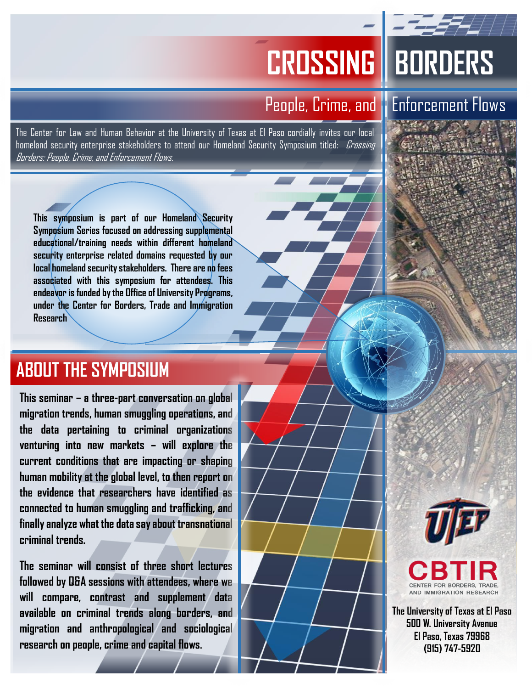## **CROSSING BORDERS**

The Center for Law and Human Behavior at the University of Texas at El Paso cordially invites our local homeland security enterprise stakeholders to attend our Homeland Security Symposium titled: *Crossing* Borders: People, Crime, and Enforcement Flows.

### People, Crime, and **Enforcement Flows**

**This symposium is part of our Homeland Security Symposium Series focused on addressing supplemental educational/training needs within different homeland security enterprise related domains requested by our local homeland security stakeholders. There are no fees associated with this symposium for attendees. This endeavor is funded by the Office of University Programs, under the Center for Borders, Trade and Immigration Research**

## **ABOUT THE SYMPOSIUM**

**This seminar – a three-part conversation on global migration trends, human smuggling operations, and the data pertaining to criminal organizations venturing into new markets – will explore the current conditions that are impacting or shaping human mobility at the global level, to then report on the evidence that researchers have identified as connected to human smuggling and trafficking, and finally analyze what the data say about transnational criminal trends.** 

**The seminar will consist of three short lectures followed by Q&A sessions with attendees, where we will compare, contrast and supplement data available on criminal trends along borders, and migration and anthropological and sociological research on people, crime and capital flows.** 



**The University of Texas at El Paso 500 W. University Avenue El Paso, Texas 79968 (915) 747-5920**